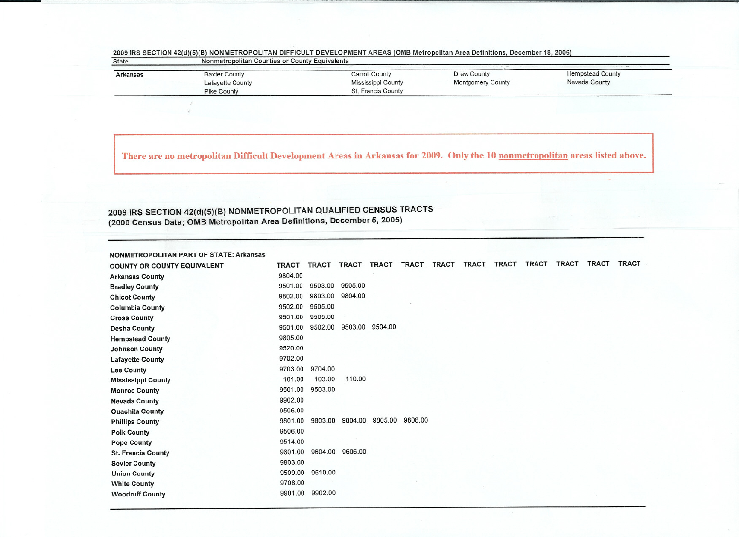| <b>State</b>    | Nonmetropolitan Counties or County Equivalents |                    |                   |                         |  |  |  |  |  |  |  |
|-----------------|------------------------------------------------|--------------------|-------------------|-------------------------|--|--|--|--|--|--|--|
| <b>Arkansas</b> | <b>Baxter County</b>                           | Carroll County     | Drew County       | <b>Hempstead County</b> |  |  |  |  |  |  |  |
|                 | Lafayette County                               | Mississippi County | Montgomery County | Nevada County           |  |  |  |  |  |  |  |
|                 | <b>Pike County</b>                             | St. Francis County |                   |                         |  |  |  |  |  |  |  |

## 2009 IRS SECTION 42(d)(5)(B) NONMETROPOLITAN DIFFICULT DEVELOPMENT AREAS (OMB Metropolitan Area Definitions, December 18, 200

There are no metropolitan Difficult Development Areas in Arkansas for 2009. Only the 10 nonmetropolitan areas listed above.

## 2009 IRS SECTION 42(d)(5)(B) NONMETROPOLITAN QUALIFIED CENSUS TRACTS (2000 Census Data; OMB Metropolitan Area Definitions, December 5, 2005)

| <b>NONMETROPOLITAN PART OF STATE: Arkansas</b> |              |              |         |              |              |              |              |       |       |              |              |              |
|------------------------------------------------|--------------|--------------|---------|--------------|--------------|--------------|--------------|-------|-------|--------------|--------------|--------------|
| <b>COUNTY OR COUNTY EQUIVALENT</b>             | <b>TRACT</b> | <b>TRACT</b> | TRACT   | <b>TRACT</b> | <b>TRACT</b> | <b>TRACT</b> | <b>TRACT</b> | TRACT | TRACT | <b>TRACT</b> | <b>TRACT</b> | <b>TRACT</b> |
| <b>Arkansas County</b>                         | 9804.00      |              |         |              |              |              |              |       |       |              |              |              |
| <b>Bradley County</b>                          | 9501.00      | 9503.00      | 9505.00 |              |              |              |              |       |       |              |              |              |
| <b>Chicot County</b>                           | 9802.00      | 9803.00      | 9804.00 |              |              |              |              |       |       |              |              |              |
| <b>Columbia County</b>                         | 9502.00      | 9505.00      |         |              |              |              |              |       |       |              |              |              |
| <b>Cross County</b>                            | 9501.00      | 9505.00      |         |              |              |              |              |       |       |              |              |              |
| <b>Desha County</b>                            | 9501.00      | 9502.00      | 9503.00 | 9504.00      |              |              |              |       |       |              |              |              |
| <b>Hempstead County</b>                        | 9805.00      |              |         |              |              |              |              |       |       |              |              |              |
| <b>Johnson County</b>                          | 9520.00      |              |         |              |              |              |              |       |       |              |              |              |
| <b>Lafayette County</b>                        | 9702.00      |              |         |              |              |              |              |       |       |              |              |              |
| <b>Lee County</b>                              | 9703.00      | 9704.00      |         |              |              |              |              |       |       |              |              |              |
| <b>Mississippi County</b>                      | 101.00       | 103.00       | 110.00  |              |              |              |              |       |       |              |              |              |
| <b>Monroe County</b>                           | 9501.00      | 9503.00      |         |              |              |              |              |       |       |              |              |              |
| <b>Nevada County</b>                           | 9902.00      |              |         |              |              |              |              |       |       |              |              |              |
| <b>Ouachita County</b>                         | 9506.00      |              |         |              |              |              |              |       |       |              |              |              |
| <b>Phillips County</b>                         | 9801.00      | 9803.00      | 9804.00 | 9805.00      | 9806.00      |              |              |       |       |              |              |              |
| <b>Polk County</b>                             | 9506.00      |              |         |              |              |              |              |       |       |              |              |              |
| <b>Pope County</b>                             | 9514.00      |              |         |              |              |              |              |       |       |              |              |              |
| <b>St. Francis County</b>                      | 9601.00      | 9604.00      | 9606.00 |              |              |              |              |       |       |              |              |              |
| <b>Sevier County</b>                           | 9803.00      |              |         |              |              |              |              |       |       |              |              |              |
| <b>Union County</b>                            | 9509.00      | 9510.00      |         |              |              |              |              |       |       |              |              |              |
| <b>White County</b>                            | 9708.00      |              |         |              |              |              |              |       |       |              |              |              |
| <b>Woodruff County</b>                         | 9901.00      | 9902.00      |         |              |              |              |              |       |       |              |              |              |
|                                                |              |              |         |              |              |              |              |       |       |              |              |              |